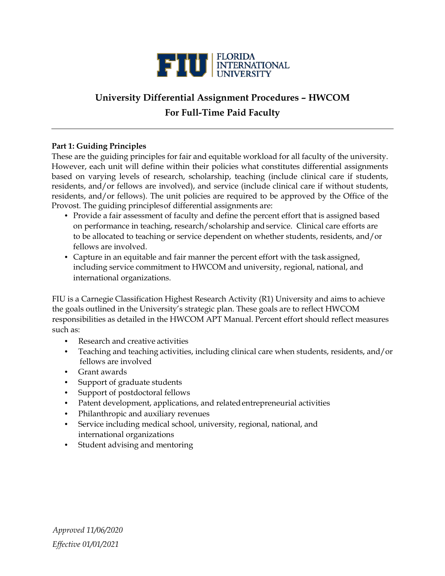

# **University Differential Assignment Procedures – HWCOM For Full-Time Paid Faculty**

# **Part 1: Guiding Principles**

These are the guiding principles for fair and equitable workload for all faculty of the university. However, each unit will define within their policies what constitutes differential assignments based on varying levels of research, scholarship, teaching (include clinical care if students, residents, and/or fellows are involved), and service (include clinical care if without students, residents, and/or fellows). The unit policies are required to be approved by the Office of the Provost. The guiding principlesof differential assignments are:

- Provide a fair assessment of faculty and define the percent effort that is assigned based on performance in teaching, research/scholarship and service. Clinical care efforts are to be allocated to teaching or service dependent on whether students, residents, and/or fellows are involved.
- Capture in an equitable and fair manner the percent effort with the task assigned, including service commitment to HWCOM and university, regional, national, and international organizations.

FIU is a Carnegie Classification Highest Research Activity (R1) University and aims to achieve the goals outlined in the University's strategic plan. These goals are to reflect HWCOM responsibilities as detailed in the HWCOM APT Manual. Percent effort should reflect measures such as:

- Research and creative activities
- Teaching and teaching activities, including clinical care when students, residents, and/or fellows are involved
- Grant awards
- Support of graduate students
- Support of postdoctoral fellows
- Patent development, applications, and related entrepreneurial activities
- Philanthropic and auxiliary revenues
- Service including medical school, university, regional, national, and international organizations
- Student advising and mentoring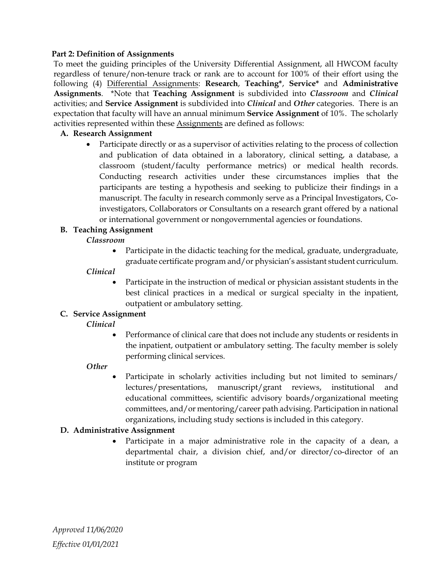## **Part 2: Definition of Assignments**

To meet the guiding principles of the University Differential Assignment, all HWCOM faculty regardless of tenure/non-tenure track or rank are to account for 100% of their effort using the following (4) Differential Assignments: **Research**, **Teaching\***, **Service\*** and **Administrative Assignments**. \*Note that **Teaching Assignment** is subdivided into *Classroom* and *Clinical* activities; and **Service Assignment** is subdivided into *Clinical* and *Other* categories. There is an expectation that faculty will have an annual minimum **Service Assignment** of 10%. The scholarly activities represented within these Assignments are defined as follows:

## **A. Research Assignment**

• Participate directly or as a supervisor of activities relating to the process of collection and publication of data obtained in a laboratory, clinical setting, a database, a classroom (student/faculty performance metrics) or medical health records. Conducting research activities under these circumstances implies that the participants are testing a hypothesis and seeking to publicize their findings in a manuscript. The faculty in research commonly serve as a Principal Investigators, Coinvestigators, Collaborators or Consultants on a research grant offered by a national or international government or nongovernmental agencies or foundations.

## **B. Teaching Assignment**

## *Classroom*

• Participate in the didactic teaching for the medical, graduate, undergraduate, graduate certificate program and/or physician's assistant student curriculum.

## *Clinical*

• Participate in the instruction of medical or physician assistant students in the best clinical practices in a medical or surgical specialty in the inpatient, outpatient or ambulatory setting.

# **C. Service Assignment**

*Clinical*

• Performance of clinical care that does not include any students or residents in the inpatient, outpatient or ambulatory setting. The faculty member is solely performing clinical services.

#### *Other*

Participate in scholarly activities including but not limited to seminars/ lectures/presentations, manuscript/grant reviews, institutional and educational committees, scientific advisory boards/organizational meeting committees, and/or mentoring/career path advising. Participation in national organizations, including study sections is included in this category.

# **D. Administrative Assignment**

• Participate in a major administrative role in the capacity of a dean, a departmental chair, a division chief, and/or director/co-director of an institute or program